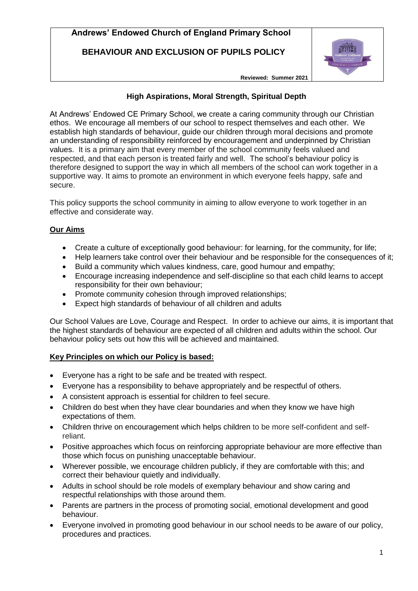**BEHAVIOUR AND EXCLUSION OF PUPILS POLICY**



**Reviewed: Summer 2021**

## **High Aspirations, Moral Strength, Spiritual Depth**

At Andrews' Endowed CE Primary School, we create a caring community through our Christian ethos. We encourage all members of our school to respect themselves and each other. We establish high standards of behaviour, guide our children through moral decisions and promote an understanding of responsibility reinforced by encouragement and underpinned by Christian values. It is a primary aim that every member of the school community feels valued and respected, and that each person is treated fairly and well. The school's behaviour policy is therefore designed to support the way in which all members of the school can work together in a supportive way. It aims to promote an environment in which everyone feels happy, safe and secure.

This policy supports the school community in aiming to allow everyone to work together in an effective and considerate way.

# **Our Aims**

- Create a culture of exceptionally good behaviour: for learning, for the community, for life;
- Help learners take control over their behaviour and be responsible for the consequences of it;
- Build a community which values kindness, care, good humour and empathy;
- Encourage increasing independence and self-discipline so that each child learns to accept responsibility for their own behaviour;
- Promote community cohesion through improved relationships;
- Expect high standards of behaviour of all children and adults

Our School Values are Love, Courage and Respect. In order to achieve our aims, it is important that the highest standards of behaviour are expected of all children and adults within the school. Our behaviour policy sets out how this will be achieved and maintained.

## **Key Principles on which our Policy is based:**

- Everyone has a right to be safe and be treated with respect.
- Everyone has a responsibility to behave appropriately and be respectful of others.
- A consistent approach is essential for children to feel secure.
- Children do best when they have clear boundaries and when they know we have high expectations of them.
- Children thrive on encouragement which helps children to be more self-confident and selfreliant.
- Positive approaches which focus on reinforcing appropriate behaviour are more effective than those which focus on punishing unacceptable behaviour.
- Wherever possible, we encourage children publicly, if they are comfortable with this; and correct their behaviour quietly and individually.
- Adults in school should be role models of exemplary behaviour and show caring and respectful relationships with those around them.
- Parents are partners in the process of promoting social, emotional development and good behaviour.
- Everyone involved in promoting good behaviour in our school needs to be aware of our policy, procedures and practices.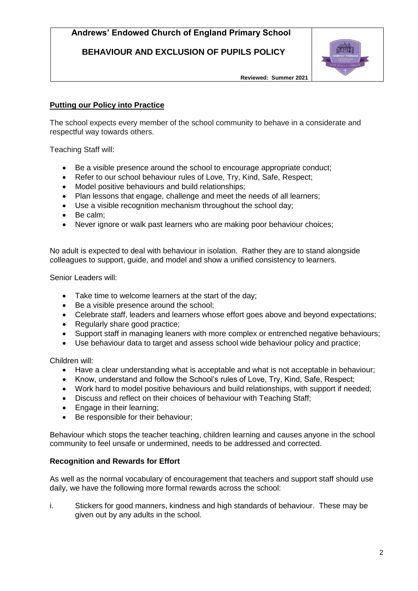**BEHAVIOUR AND EXCLUSION OF PUPILS POLICY**



**Reviewed: Summer 2021**

### **Putting our Policy into Practice**

The school expects every member of the school community to behave in a considerate and respectful way towards others.

Teaching Staff will:

- Be a visible presence around the school to encourage appropriate conduct;
- Refer to our school behaviour rules of Love, Try, Kind, Safe, Respect;
- Model positive behaviours and build relationships;
- Plan lessons that engage, challenge and meet the needs of all learners;
- Use a visible recognition mechanism throughout the school day;
- Be calm:
- Never ignore or walk past learners who are making poor behaviour choices;

No adult is expected to deal with behaviour in isolation. Rather they are to stand alongside colleagues to support, guide, and model and show a unified consistency to learners.

Senior Leaders will:

- Take time to welcome learners at the start of the day;
- Be a visible presence around the school:
- Celebrate staff, leaders and learners whose effort goes above and beyond expectations;
- Regularly share good practice;
- Support staff in managing leaners with more complex or entrenched negative behaviours;
- Use behaviour data to target and assess school wide behaviour policy and practice;

Children will:

- Have a clear understanding what is acceptable and what is not acceptable in behaviour;
- Know, understand and follow the School's rules of Love, Try, Kind, Safe, Respect;
- Work hard to model positive behaviours and build relationships, with support if needed;
- Discuss and reflect on their choices of behaviour with Teaching Staff;
- Engage in their learning;
- Be responsible for their behaviour;

Behaviour which stops the teacher teaching, children learning and causes anyone in the school community to feel unsafe or undermined, needs to be addressed and corrected.

### **Recognition and Rewards for Effort**

As well as the normal vocabulary of encouragement that teachers and support staff should use daily, we have the following more formal rewards across the school:

i. Stickers for good manners, kindness and high standards of behaviour. These may be given out by any adults in the school.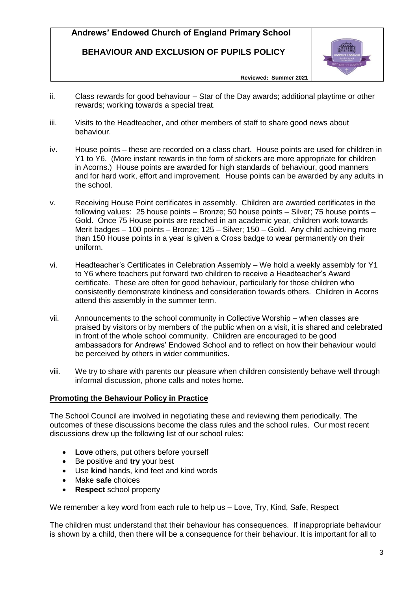**BEHAVIOUR AND EXCLUSION OF PUPILS POLICY**



**Reviewed: Summer 2021**

- ii. Class rewards for good behaviour Star of the Day awards; additional playtime or other rewards; working towards a special treat.
- iii. Visits to the Headteacher, and other members of staff to share good news about behaviour.
- iv. House points these are recorded on a class chart. House points are used for children in Y1 to Y6. (More instant rewards in the form of stickers are more appropriate for children in Acorns.) House points are awarded for high standards of behaviour, good manners and for hard work, effort and improvement. House points can be awarded by any adults in the school.
- v. Receiving House Point certificates in assembly. Children are awarded certificates in the following values: 25 house points – Bronze; 50 house points – Silver; 75 house points – Gold. Once 75 House points are reached in an academic year, children work towards Merit badges – 100 points – Bronze; 125 – Silver; 150 – Gold. Any child achieving more than 150 House points in a year is given a Cross badge to wear permanently on their uniform.
- vi. Headteacher's Certificates in Celebration Assembly We hold a weekly assembly for Y1 to Y6 where teachers put forward two children to receive a Headteacher's Award certificate. These are often for good behaviour, particularly for those children who consistently demonstrate kindness and consideration towards others. Children in Acorns attend this assembly in the summer term.
- vii. Announcements to the school community in Collective Worship when classes are praised by visitors or by members of the public when on a visit, it is shared and celebrated in front of the whole school community. Children are encouraged to be good ambassadors for Andrews' Endowed School and to reflect on how their behaviour would be perceived by others in wider communities.
- viii. We try to share with parents our pleasure when children consistently behave well through informal discussion, phone calls and notes home.

## **Promoting the Behaviour Policy in Practice**

The School Council are involved in negotiating these and reviewing them periodically. The outcomes of these discussions become the class rules and the school rules. Our most recent discussions drew up the following list of our school rules:

- **Love** others, put others before yourself
- Be positive and **try** your best
- Use **kind** hands, kind feet and kind words
- Make **safe** choices
- **Respect** school property

We remember a key word from each rule to help us – Love, Try, Kind, Safe, Respect

The children must understand that their behaviour has consequences. If inappropriate behaviour is shown by a child, then there will be a consequence for their behaviour. It is important for all to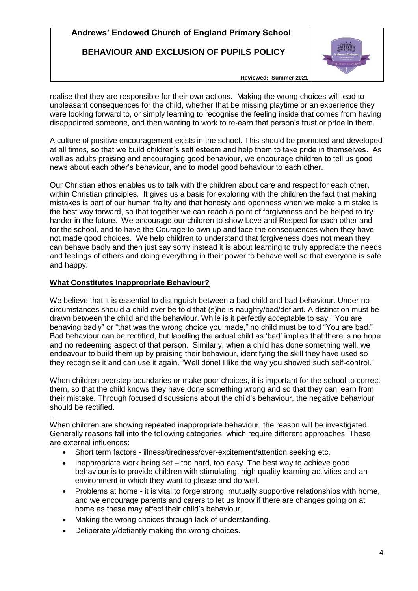**BEHAVIOUR AND EXCLUSION OF PUPILS POLICY**



**Reviewed: Summer 2021**

realise that they are responsible for their own actions. Making the wrong choices will lead to unpleasant consequences for the child, whether that be missing playtime or an experience they were looking forward to, or simply learning to recognise the feeling inside that comes from having disappointed someone, and then wanting to work to re-earn that person's trust or pride in them.

A culture of positive encouragement exists in the school. This should be promoted and developed at all times, so that we build children's self esteem and help them to take pride in themselves. As well as adults praising and encouraging good behaviour, we encourage children to tell us good news about each other's behaviour, and to model good behaviour to each other.

Our Christian ethos enables us to talk with the children about care and respect for each other, within Christian principles. It gives us a basis for exploring with the children the fact that making mistakes is part of our human frailty and that honesty and openness when we make a mistake is the best way forward, so that together we can reach a point of forgiveness and be helped to try harder in the future. We encourage our children to show Love and Respect for each other and for the school, and to have the Courage to own up and face the consequences when they have not made good choices. We help children to understand that forgiveness does not mean they can behave badly and then just say sorry instead it is about learning to truly appreciate the needs and feelings of others and doing everything in their power to behave well so that everyone is safe and happy.

## **What Constitutes Inappropriate Behaviour?**

We believe that it is essential to distinguish between a bad child and bad behaviour. Under no circumstances should a child ever be told that (s)he is naughty/bad/defiant. A distinction must be drawn between the child and the behaviour. While is it perfectly acceptable to say, "You are behaving badly" or "that was the wrong choice you made," no child must be told "You are bad." Bad behaviour can be rectified, but labelling the actual child as 'bad' implies that there is no hope and no redeeming aspect of that person. Similarly, when a child has done something well, we endeavour to build them up by praising their behaviour, identifying the skill they have used so they recognise it and can use it again. "Well done! I like the way you showed such self-control."

When children overstep boundaries or make poor choices, it is important for the school to correct them, so that the child knows they have done something wrong and so that they can learn from their mistake. Through focused discussions about the child's behaviour, the negative behaviour should be rectified.

. When children are showing repeated inappropriate behaviour, the reason will be investigated. Generally reasons fall into the following categories, which require different approaches. These are external influences:

- Short term factors illness/tiredness/over-excitement/attention seeking etc.
- $\bullet$  Inappropriate work being set too hard, too easy. The best way to achieve good behaviour is to provide children with stimulating, high quality learning activities and an environment in which they want to please and do well.
- Problems at home it is vital to forge strong, mutually supportive relationships with home, and we encourage parents and carers to let us know if there are changes going on at home as these may affect their child's behaviour.
- Making the wrong choices through lack of understanding.
- Deliberately/defiantly making the wrong choices.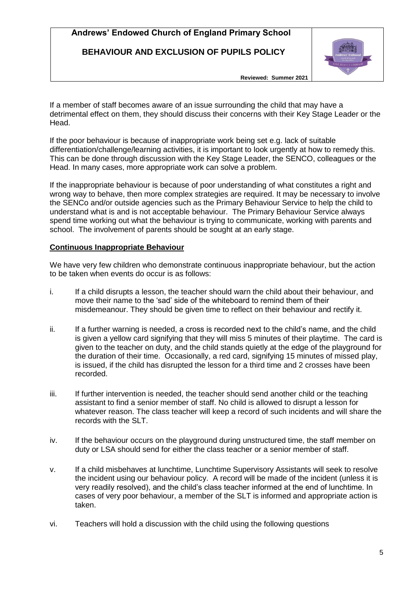# **BEHAVIOUR AND EXCLUSION OF PUPILS POLICY**



**Reviewed: Summer 2021**

If a member of staff becomes aware of an issue surrounding the child that may have a detrimental effect on them, they should discuss their concerns with their Key Stage Leader or the Head.

If the poor behaviour is because of inappropriate work being set e.g. lack of suitable differentiation/challenge/learning activities, it is important to look urgently at how to remedy this. This can be done through discussion with the Key Stage Leader, the SENCO, colleagues or the Head. In many cases, more appropriate work can solve a problem.

If the inappropriate behaviour is because of poor understanding of what constitutes a right and wrong way to behave, then more complex strategies are required. It may be necessary to involve the SENCo and/or outside agencies such as the Primary Behaviour Service to help the child to understand what is and is not acceptable behaviour. The Primary Behaviour Service always spend time working out what the behaviour is trying to communicate, working with parents and school. The involvement of parents should be sought at an early stage.

## **Continuous Inappropriate Behaviour**

We have very few children who demonstrate continuous inappropriate behaviour, but the action to be taken when events do occur is as follows:

- i. If a child disrupts a lesson, the teacher should warn the child about their behaviour, and move their name to the 'sad' side of the whiteboard to remind them of their misdemeanour. They should be given time to reflect on their behaviour and rectify it.
- ii. If a further warning is needed, a cross is recorded next to the child's name, and the child is given a yellow card signifying that they will miss 5 minutes of their playtime. The card is given to the teacher on duty, and the child stands quietly at the edge of the playground for the duration of their time. Occasionally, a red card, signifying 15 minutes of missed play, is issued, if the child has disrupted the lesson for a third time and 2 crosses have been recorded.
- iii. If further intervention is needed, the teacher should send another child or the teaching assistant to find a senior member of staff. No child is allowed to disrupt a lesson for whatever reason. The class teacher will keep a record of such incidents and will share the records with the SLT.
- iv. If the behaviour occurs on the playground during unstructured time, the staff member on duty or LSA should send for either the class teacher or a senior member of staff.
- v. If a child misbehaves at lunchtime, Lunchtime Supervisory Assistants will seek to resolve the incident using our behaviour policy. A record will be made of the incident (unless it is very readily resolved), and the child's class teacher informed at the end of lunchtime. In cases of very poor behaviour, a member of the SLT is informed and appropriate action is taken.
- vi. Teachers will hold a discussion with the child using the following questions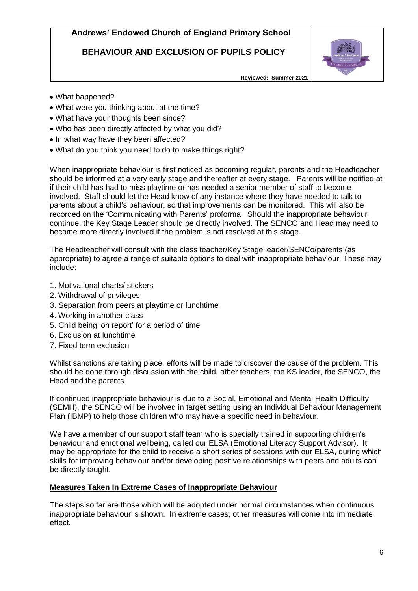# **BEHAVIOUR AND EXCLUSION OF PUPILS POLICY**



**Reviewed: Summer 2021**

- What happened?
- What were you thinking about at the time?
- What have your thoughts been since?
- Who has been directly affected by what you did?
- In what way have they been affected?
- What do you think you need to do to make things right?

When inappropriate behaviour is first noticed as becoming regular, parents and the Headteacher should be informed at a very early stage and thereafter at every stage. Parents will be notified at if their child has had to miss playtime or has needed a senior member of staff to become involved. Staff should let the Head know of any instance where they have needed to talk to parents about a child's behaviour, so that improvements can be monitored. This will also be recorded on the 'Communicating with Parents' proforma. Should the inappropriate behaviour continue, the Key Stage Leader should be directly involved. The SENCO and Head may need to become more directly involved if the problem is not resolved at this stage.

The Headteacher will consult with the class teacher/Key Stage leader/SENCo/parents (as appropriate) to agree a range of suitable options to deal with inappropriate behaviour. These may include:

- 1. Motivational charts/ stickers
- 2. Withdrawal of privileges
- 3. Separation from peers at playtime or lunchtime
- 4. Working in another class
- 5. Child being 'on report' for a period of time
- 6. Exclusion at lunchtime
- 7. Fixed term exclusion

Whilst sanctions are taking place, efforts will be made to discover the cause of the problem. This should be done through discussion with the child, other teachers, the KS leader, the SENCO, the Head and the parents.

If continued inappropriate behaviour is due to a Social, Emotional and Mental Health Difficulty (SEMH), the SENCO will be involved in target setting using an Individual Behaviour Management Plan (IBMP) to help those children who may have a specific need in behaviour.

We have a member of our support staff team who is specially trained in supporting children's behaviour and emotional wellbeing, called our ELSA (Emotional Literacy Support Advisor). It may be appropriate for the child to receive a short series of sessions with our ELSA, during which skills for improving behaviour and/or developing positive relationships with peers and adults can be directly taught.

### **Measures Taken In Extreme Cases of Inappropriate Behaviour**

The steps so far are those which will be adopted under normal circumstances when continuous inappropriate behaviour is shown. In extreme cases, other measures will come into immediate effect.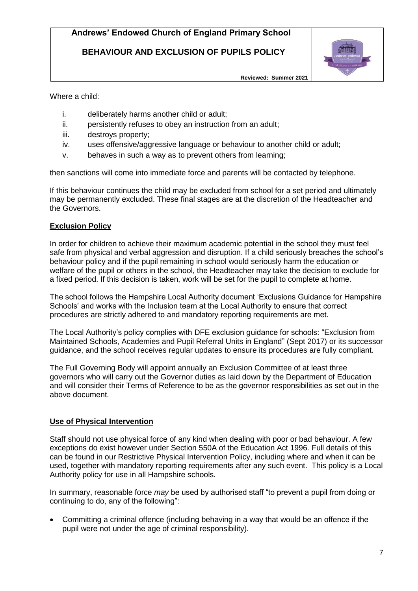**BEHAVIOUR AND EXCLUSION OF PUPILS POLICY**



**Reviewed: Summer 2021**

Where a child:

- i. deliberately harms another child or adult;
- ii. persistently refuses to obey an instruction from an adult;
- iii. destroys property;
- iv. uses offensive/aggressive language or behaviour to another child or adult;
- v. behaves in such a way as to prevent others from learning;

then sanctions will come into immediate force and parents will be contacted by telephone.

If this behaviour continues the child may be excluded from school for a set period and ultimately may be permanently excluded. These final stages are at the discretion of the Headteacher and the Governors.

### **Exclusion Policy**

In order for children to achieve their maximum academic potential in the school they must feel safe from physical and verbal aggression and disruption. If a child seriously breaches the school's behaviour policy and if the pupil remaining in school would seriously harm the education or welfare of the pupil or others in the school, the Headteacher may take the decision to exclude for a fixed period. If this decision is taken, work will be set for the pupil to complete at home.

The school follows the Hampshire Local Authority document 'Exclusions Guidance for Hampshire Schools' and works with the Inclusion team at the Local Authority to ensure that correct procedures are strictly adhered to and mandatory reporting requirements are met.

The Local Authority's policy complies with DFE exclusion guidance for schools: "Exclusion from Maintained Schools, Academies and Pupil Referral Units in England" (Sept 2017) or its successor guidance, and the school receives regular updates to ensure its procedures are fully compliant.

The Full Governing Body will appoint annually an Exclusion Committee of at least three governors who will carry out the Governor duties as laid down by the Department of Education and will consider their Terms of Reference to be as the governor responsibilities as set out in the above document.

## **Use of Physical Intervention**

Staff should not use physical force of any kind when dealing with poor or bad behaviour. A few exceptions do exist however under Section 550A of the Education Act 1996. Full details of this can be found in our Restrictive Physical Intervention Policy, including where and when it can be used, together with mandatory reporting requirements after any such event. This policy is a Local Authority policy for use in all Hampshire schools.

In summary, reasonable force *may* be used by authorised staff "to prevent a pupil from doing or continuing to do, any of the following":

 Committing a criminal offence (including behaving in a way that would be an offence if the pupil were not under the age of criminal responsibility).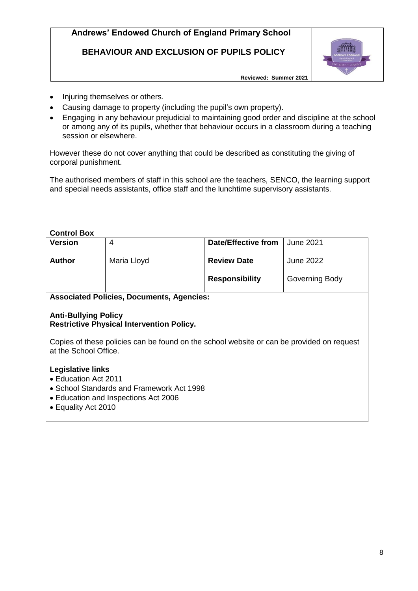**BEHAVIOUR AND EXCLUSION OF PUPILS POLICY**



**Reviewed: Summer 2021**

- Injuring themselves or others.
- Causing damage to property (including the pupil's own property).
- Engaging in any behaviour prejudicial to maintaining good order and discipline at the school or among any of its pupils, whether that behaviour occurs in a classroom during a teaching session or elsewhere.

However these do not cover anything that could be described as constituting the giving of corporal punishment.

The authorised members of staff in this school are the teachers, SENCO, the learning support and special needs assistants, office staff and the lunchtime supervisory assistants.

## **Control Box**

| <b>Version</b>                                                                                                                                        | 4           | Date/Effective from   | <b>June 2021</b> |  |
|-------------------------------------------------------------------------------------------------------------------------------------------------------|-------------|-----------------------|------------------|--|
| <b>Author</b>                                                                                                                                         | Maria Lloyd | <b>Review Date</b>    | <b>June 2022</b> |  |
|                                                                                                                                                       |             | <b>Responsibility</b> | Governing Body   |  |
| <b>Associated Policies, Documents, Agencies:</b>                                                                                                      |             |                       |                  |  |
| <b>Anti-Bullying Policy</b><br><b>Restrictive Physical Intervention Policy.</b>                                                                       |             |                       |                  |  |
| Copies of these policies can be found on the school website or can be provided on request<br>at the School Office.                                    |             |                       |                  |  |
| Legislative links<br>• Education Act 2011<br>• School Standards and Framework Act 1998<br>• Education and Inspections Act 2006<br>• Equality Act 2010 |             |                       |                  |  |